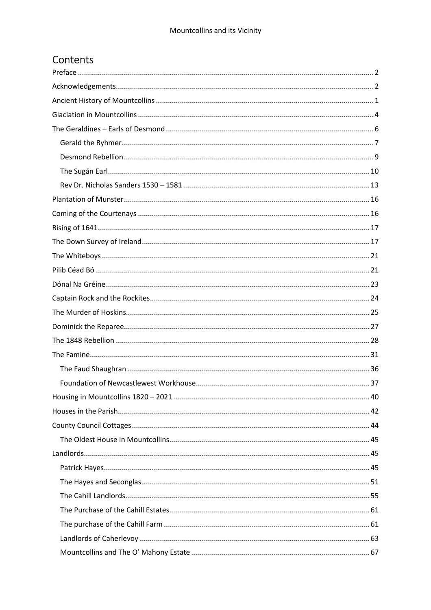## Contents